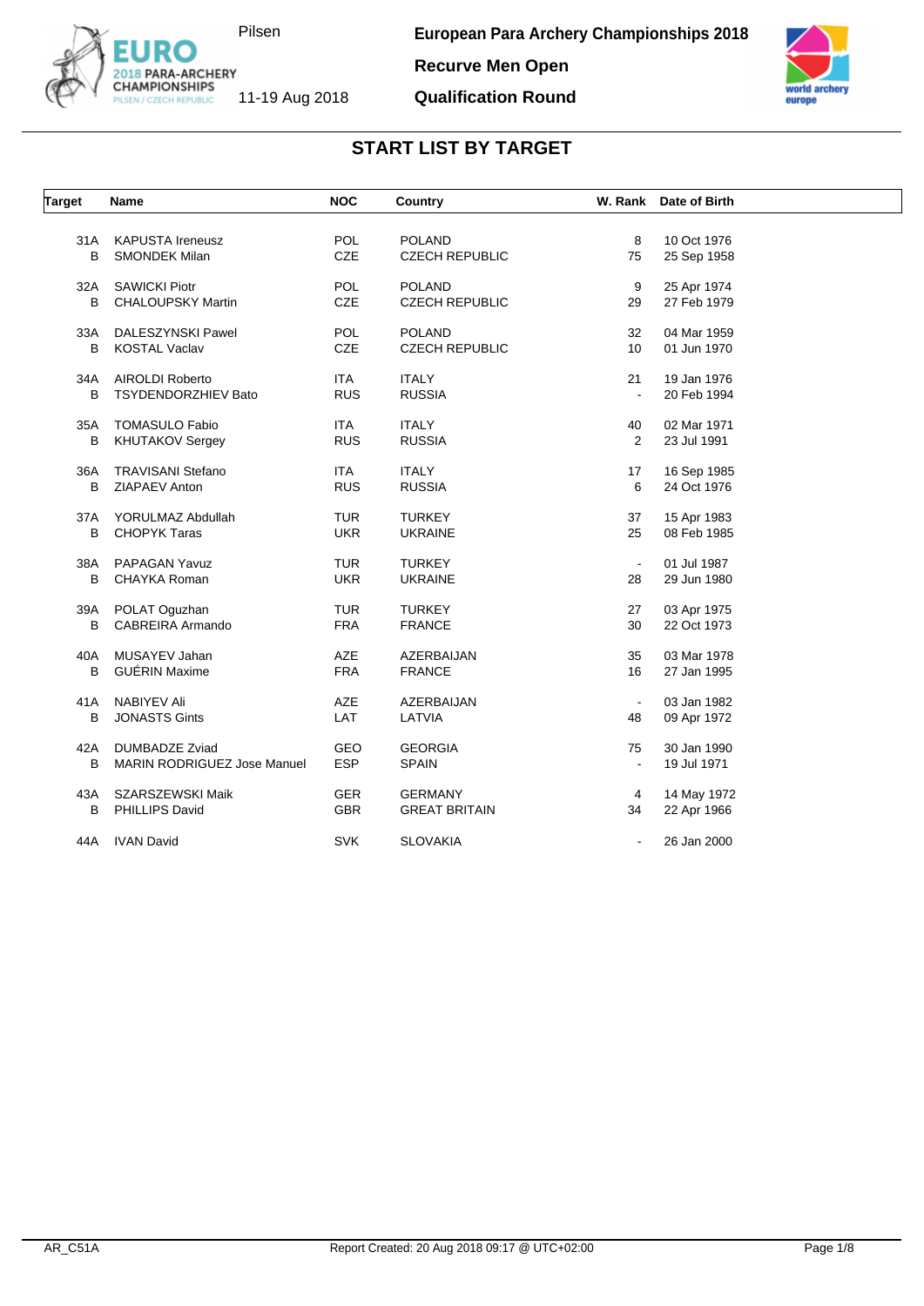

**Recurve Men Open**

#### **Qualification Round**



| <b>Target</b> | Name                        | <b>NOC</b> | Country               | W. Rank        | Date of Birth |  |
|---------------|-----------------------------|------------|-----------------------|----------------|---------------|--|
|               |                             |            |                       |                |               |  |
| 31 A          | <b>KAPUSTA Ireneusz</b>     | <b>POL</b> | <b>POLAND</b>         | 8              | 10 Oct 1976   |  |
| B             | <b>SMONDEK Milan</b>        | <b>CZE</b> | <b>CZECH REPUBLIC</b> | 75             | 25 Sep 1958   |  |
| 32A           | <b>SAWICKI Piotr</b>        | <b>POL</b> | <b>POLAND</b>         | 9              | 25 Apr 1974   |  |
| B             | <b>CHALOUPSKY Martin</b>    | <b>CZE</b> | <b>CZECH REPUBLIC</b> | 29             | 27 Feb 1979   |  |
| 33A           | DALESZYNSKI Pawel           | POL        | <b>POLAND</b>         | 32             | 04 Mar 1959   |  |
| B             | <b>KOSTAL Vaclav</b>        | CZE        | <b>CZECH REPUBLIC</b> | 10             | 01 Jun 1970   |  |
| 34A           | AIROLDI Roberto             | <b>ITA</b> | <b>ITALY</b>          | 21             | 19 Jan 1976   |  |
| B             | <b>TSYDENDORZHIEV Bato</b>  | <b>RUS</b> | <b>RUSSIA</b>         | $\blacksquare$ | 20 Feb 1994   |  |
| 35A           | <b>TOMASULO Fabio</b>       | <b>ITA</b> | <b>ITALY</b>          | 40             | 02 Mar 1971   |  |
| В             | <b>KHUTAKOV Sergey</b>      | <b>RUS</b> | <b>RUSSIA</b>         | $\overline{2}$ | 23 Jul 1991   |  |
|               |                             |            |                       |                |               |  |
| 36A           | <b>TRAVISANI Stefano</b>    | <b>ITA</b> | <b>ITALY</b>          | 17             | 16 Sep 1985   |  |
| B             | ZIAPAEV Anton               | <b>RUS</b> | <b>RUSSIA</b>         | 6              | 24 Oct 1976   |  |
| 37A           | YORULMAZ Abdullah           | <b>TUR</b> | <b>TURKEY</b>         | 37             | 15 Apr 1983   |  |
| B             | <b>CHOPYK Taras</b>         | <b>UKR</b> | <b>UKRAINE</b>        | 25             | 08 Feb 1985   |  |
| 38A           | PAPAGAN Yavuz               | <b>TUR</b> | <b>TURKEY</b>         | $\blacksquare$ | 01 Jul 1987   |  |
| B             | CHAYKA Roman                | <b>UKR</b> | <b>UKRAINE</b>        | 28             | 29 Jun 1980   |  |
| 39A           | POLAT Oguzhan               | <b>TUR</b> | <b>TURKEY</b>         | 27             | 03 Apr 1975   |  |
| B             | CABREIRA Armando            | <b>FRA</b> | <b>FRANCE</b>         | 30             | 22 Oct 1973   |  |
|               |                             |            |                       |                |               |  |
| 40A           | MUSAYEV Jahan               | <b>AZE</b> | AZERBAIJAN            | 35             | 03 Mar 1978   |  |
| B             | <b>GUÉRIN Maxime</b>        | <b>FRA</b> | <b>FRANCE</b>         | 16             | 27 Jan 1995   |  |
| 41A           | <b>NABIYEV Ali</b>          | AZE        | AZERBAIJAN            | $\bullet$      | 03 Jan 1982   |  |
| B             | <b>JONASTS Gints</b>        | LAT        | LATVIA                | 48             | 09 Apr 1972   |  |
| 42A           | <b>DUMBADZE Zviad</b>       | GEO        | <b>GEORGIA</b>        | 75             | 30 Jan 1990   |  |
| В             | MARIN RODRIGUEZ Jose Manuel | <b>ESP</b> | <b>SPAIN</b>          |                | 19 Jul 1971   |  |
|               |                             |            |                       |                |               |  |
| 43A           | SZARSZEWSKI Maik            | <b>GER</b> | <b>GERMANY</b>        | 4              | 14 May 1972   |  |
| B             | PHILLIPS David              | <b>GBR</b> | <b>GREAT BRITAIN</b>  | 34             | 22 Apr 1966   |  |
| 44A           | <b>IVAN David</b>           | <b>SVK</b> | <b>SLOVAKIA</b>       | $\blacksquare$ | 26 Jan 2000   |  |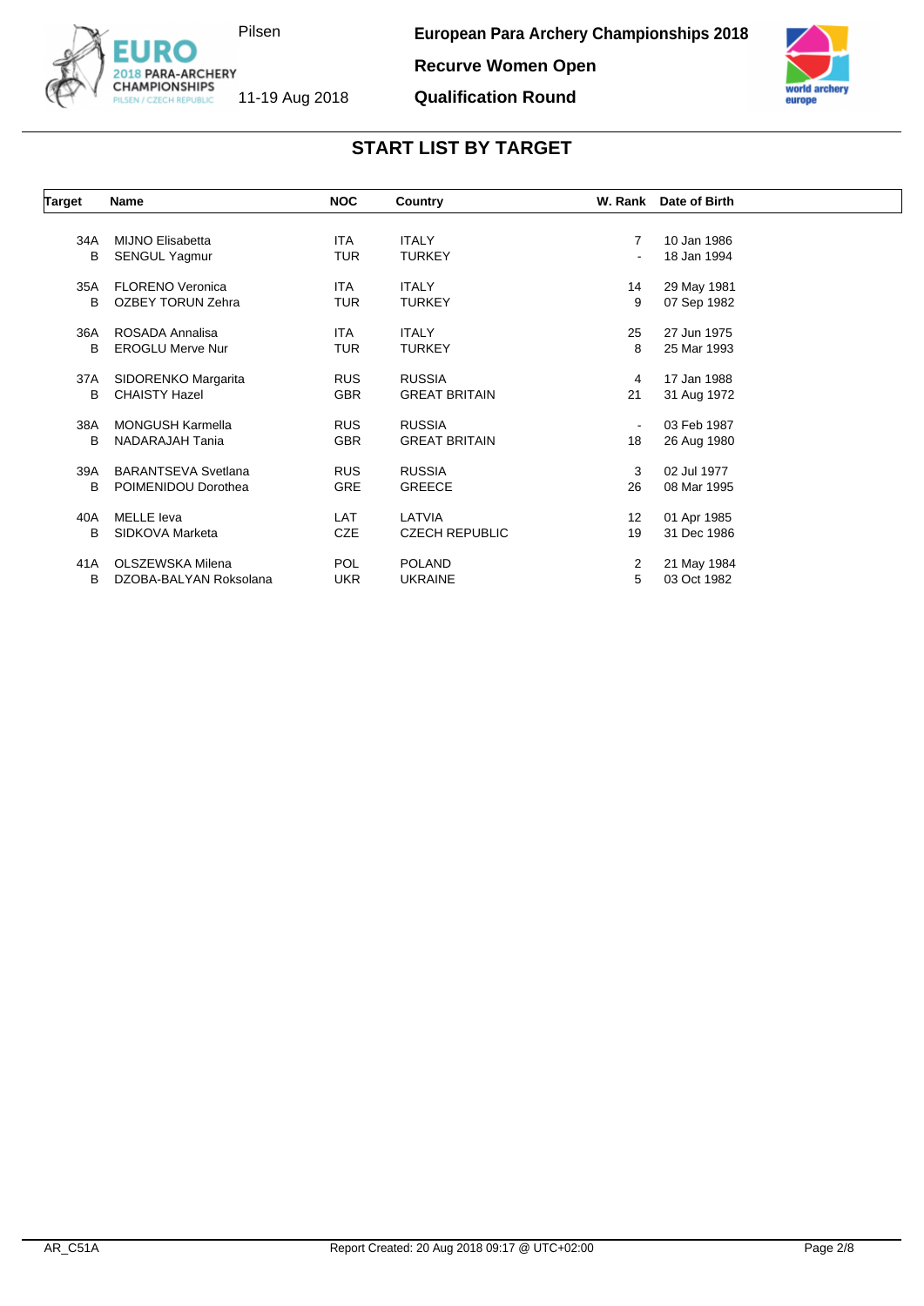

euron

**Recurve Women Open**

**Qualification Round**

| <b>START LIST BY TARGET</b> |
|-----------------------------|
|-----------------------------|

| Target | Name                       | <b>NOC</b> | Country               |                | W. Rank Date of Birth |  |
|--------|----------------------------|------------|-----------------------|----------------|-----------------------|--|
|        |                            |            |                       |                |                       |  |
| 34A    | <b>MIJNO Elisabetta</b>    | <b>ITA</b> | <b>ITALY</b>          | 7              | 10 Jan 1986           |  |
| B      | <b>SENGUL Yagmur</b>       | <b>TUR</b> | <b>TURKEY</b>         |                | 18 Jan 1994           |  |
| 35A    | <b>FLORENO Veronica</b>    | <b>ITA</b> | <b>ITALY</b>          | 14             | 29 May 1981           |  |
| В      | <b>OZBEY TORUN Zehra</b>   | TUR        | <b>TURKEY</b>         | 9              | 07 Sep 1982           |  |
| 36A    | ROSADA Annalisa            | <b>ITA</b> | <b>ITALY</b>          | 25             | 27 Jun 1975           |  |
| B      | <b>EROGLU Merve Nur</b>    | <b>TUR</b> | <b>TURKEY</b>         | 8              | 25 Mar 1993           |  |
| 37A    | SIDORENKO Margarita        | <b>RUS</b> | <b>RUSSIA</b>         | 4              | 17 Jan 1988           |  |
| В      | <b>CHAISTY Hazel</b>       | <b>GBR</b> | <b>GREAT BRITAIN</b>  | 21             | 31 Aug 1972           |  |
| 38A    | <b>MONGUSH Karmella</b>    | <b>RUS</b> | <b>RUSSIA</b>         | $\blacksquare$ | 03 Feb 1987           |  |
| B      | NADARAJAH Tania            | <b>GBR</b> | <b>GREAT BRITAIN</b>  | 18             | 26 Aug 1980           |  |
| 39A    | <b>BARANTSEVA Svetlana</b> | <b>RUS</b> | <b>RUSSIA</b>         | 3              | 02 Jul 1977           |  |
| B      | POIMENIDOU Dorothea        | <b>GRE</b> | <b>GREECE</b>         | 26             | 08 Mar 1995           |  |
| 40A    | MELLE leva                 | LAT        | LATVIA                | 12             | 01 Apr 1985           |  |
| B      | SIDKOVA Marketa            | <b>CZE</b> | <b>CZECH REPUBLIC</b> | 19             | 31 Dec 1986           |  |
| 41A    | OLSZEWSKA Milena           | <b>POL</b> | <b>POLAND</b>         | 2              | 21 May 1984           |  |
| В      | DZOBA-BALYAN Roksolana     | <b>UKR</b> | <b>UKRAINE</b>        | 5              | 03 Oct 1982           |  |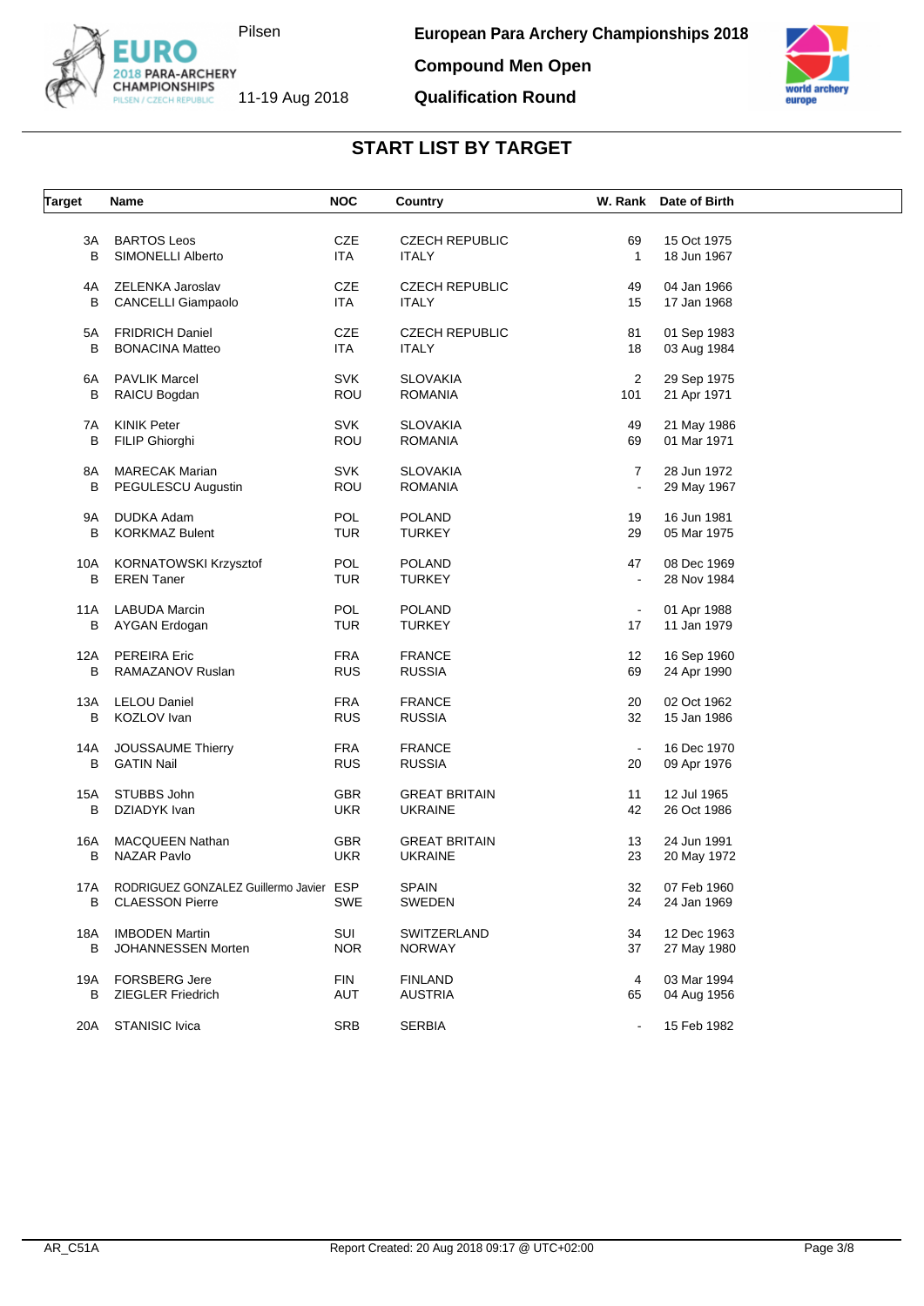

**Compound Men Open**

**Qualification Round**



| <b>Target</b> | Name                                    | <b>NOC</b> | Country               |                      | W. Rank Date of Birth      |  |
|---------------|-----------------------------------------|------------|-----------------------|----------------------|----------------------------|--|
|               |                                         |            |                       |                      |                            |  |
| 3A            | <b>BARTOS Leos</b>                      | <b>CZE</b> | <b>CZECH REPUBLIC</b> | 69                   | 15 Oct 1975                |  |
| В             | SIMONELLI Alberto                       | <b>ITA</b> | <b>ITALY</b>          | $\mathbf{1}$         | 18 Jun 1967                |  |
| 4A            | ZELENKA Jaroslav                        | CZE        | <b>CZECH REPUBLIC</b> | 49                   | 04 Jan 1966                |  |
| B             | CANCELLI Giampaolo                      | <b>ITA</b> | <b>ITALY</b>          | 15                   | 17 Jan 1968                |  |
|               |                                         |            |                       |                      |                            |  |
| 5A            | <b>FRIDRICH Daniel</b>                  | <b>CZE</b> | <b>CZECH REPUBLIC</b> | 81                   | 01 Sep 1983                |  |
| В             | <b>BONACINA Matteo</b>                  | <b>ITA</b> | <b>ITALY</b>          | 18                   | 03 Aug 1984                |  |
| 6A            | <b>PAVLIK Marcel</b>                    | <b>SVK</b> | <b>SLOVAKIA</b>       | $\overline{c}$       | 29 Sep 1975                |  |
| B             | RAICU Bogdan                            | ROU        | <b>ROMANIA</b>        | 101                  | 21 Apr 1971                |  |
| 7A            | <b>KINIK Peter</b>                      | <b>SVK</b> | <b>SLOVAKIA</b>       | 49                   | 21 May 1986                |  |
| В             | FILIP Ghiorghi                          | ROU        | ROMANIA               | 69                   | 01 Mar 1971                |  |
|               |                                         |            |                       |                      |                            |  |
| 8A            | <b>MARECAK Marian</b>                   | <b>SVK</b> | <b>SLOVAKIA</b>       | 7                    | 28 Jun 1972                |  |
| В             | PEGULESCU Augustin                      | ROU        | <b>ROMANIA</b>        |                      | 29 May 1967                |  |
| 9A            | <b>DUDKA Adam</b>                       | POL        | <b>POLAND</b>         | 19                   | 16 Jun 1981                |  |
| В             | <b>KORKMAZ Bulent</b>                   | <b>TUR</b> | <b>TURKEY</b>         | 29                   | 05 Mar 1975                |  |
|               |                                         |            |                       |                      |                            |  |
| 10A           | KORNATOWSKI Krzysztof                   | POL        | <b>POLAND</b>         | 47                   | 08 Dec 1969                |  |
| В             | <b>EREN</b> Taner                       | <b>TUR</b> | <b>TURKEY</b>         | $\blacksquare$       | 28 Nov 1984                |  |
|               |                                         | POL        | <b>POLAND</b>         |                      |                            |  |
| 11A<br>В      | <b>LABUDA Marcin</b><br>AYGAN Erdogan   | TUR        | <b>TURKEY</b>         | $\blacksquare$<br>17 | 01 Apr 1988<br>11 Jan 1979 |  |
|               |                                         |            |                       |                      |                            |  |
| 12A           | PEREIRA Eric                            | <b>FRA</b> | <b>FRANCE</b>         | 12                   | 16 Sep 1960                |  |
| в             | RAMAZANOV Ruslan                        | <b>RUS</b> | <b>RUSSIA</b>         | 69                   | 24 Apr 1990                |  |
| 13A           | <b>LELOU Daniel</b>                     | <b>FRA</b> | <b>FRANCE</b>         | 20                   | 02 Oct 1962                |  |
| в             | KOZLOV Ivan                             | <b>RUS</b> | <b>RUSSIA</b>         | 32                   | 15 Jan 1986                |  |
|               |                                         |            |                       |                      |                            |  |
| 14A           | JOUSSAUME Thierry                       | <b>FRA</b> | <b>FRANCE</b>         | $\sim$               | 16 Dec 1970                |  |
| В             | <b>GATIN Nail</b>                       | <b>RUS</b> | <b>RUSSIA</b>         | 20                   | 09 Apr 1976                |  |
| 15A           | STUBBS John                             | <b>GBR</b> | <b>GREAT BRITAIN</b>  | 11                   | 12 Jul 1965                |  |
| в             | DZIADYK Ivan                            | <b>UKR</b> | <b>UKRAINE</b>        | 42                   | 26 Oct 1986                |  |
|               |                                         |            |                       |                      |                            |  |
| 16A           | <b>MACQUEEN Nathan</b>                  | <b>GBR</b> | <b>GREAT BRITAIN</b>  | 13                   | 24 Jun 1991                |  |
| В             | <b>NAZAR Pavlo</b>                      | <b>UKR</b> | <b>UKRAINE</b>        | 23                   | 20 May 1972                |  |
| 17A           | RODRIGUEZ GONZALEZ Guillermo Javier ESP |            | SPAIN                 | 32                   | 07 Feb 1960                |  |
| В             | <b>CLAESSON Pierre</b>                  | SWE        | SWEDEN                | 24                   | 24 Jan 1969                |  |
|               |                                         |            |                       |                      |                            |  |
| 18A           | <b>IMBODEN Martin</b>                   | SUI        | SWITZERLAND           | 34                   | 12 Dec 1963                |  |
| в             | JOHANNESSEN Morten                      | <b>NOR</b> | <b>NORWAY</b>         | 37                   | 27 May 1980                |  |
| 19A           | <b>FORSBERG Jere</b>                    | <b>FIN</b> | <b>FINLAND</b>        | 4                    | 03 Mar 1994                |  |
| в             | <b>ZIEGLER Friedrich</b>                | <b>AUT</b> | <b>AUSTRIA</b>        | 65                   | 04 Aug 1956                |  |
|               |                                         |            |                       |                      |                            |  |
| 20A           | STANISIC Ivica                          | SRB        | <b>SERBIA</b>         | $\blacksquare$       | 15 Feb 1982                |  |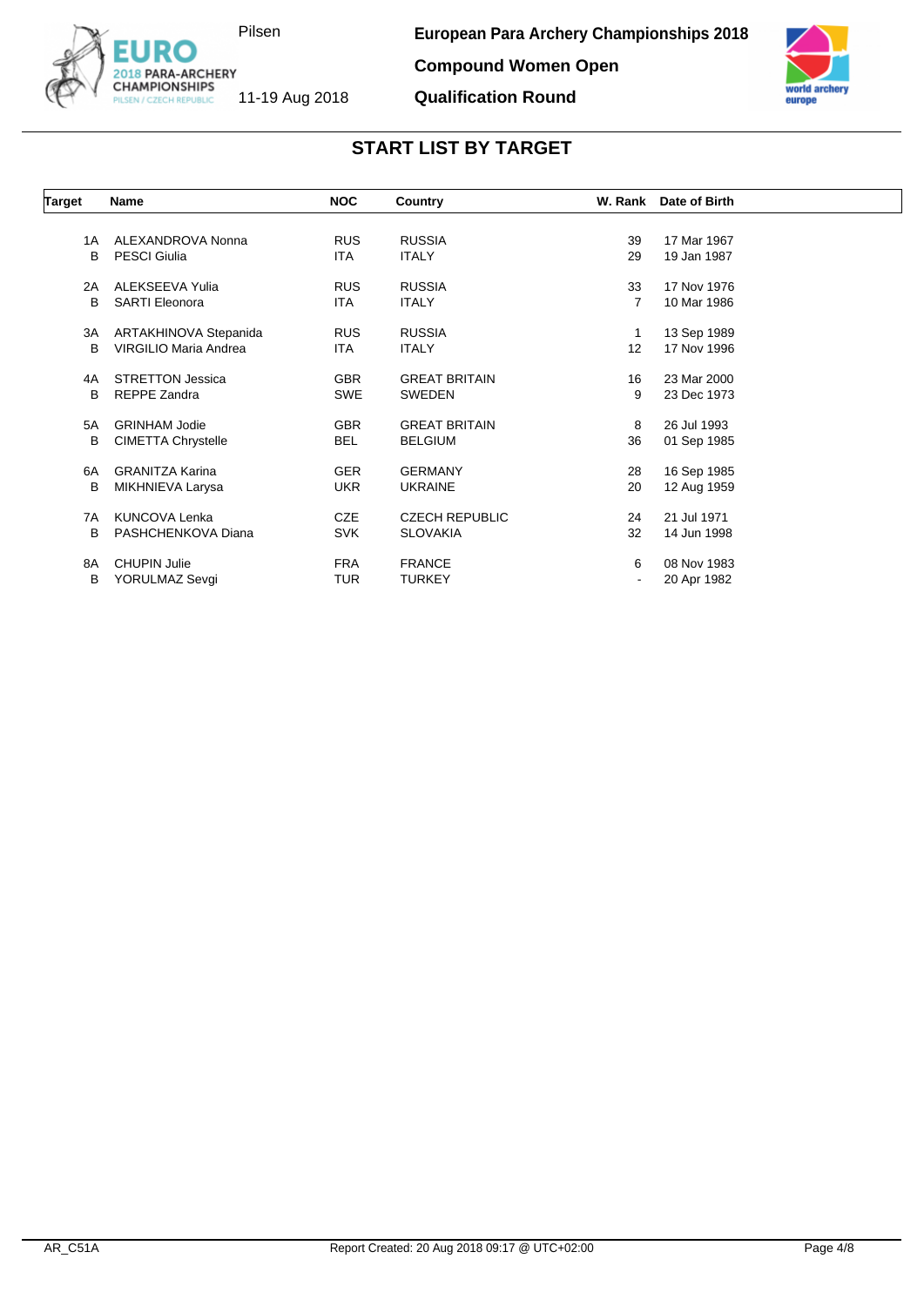

**Compound Women Open**

**Qualification Round**



| <b>Target</b> | <b>Name</b>               | <b>NOC</b> | Country               | W. Rank | Date of Birth |
|---------------|---------------------------|------------|-----------------------|---------|---------------|
|               |                           |            |                       |         |               |
| 1A            | ALEXANDROVA Nonna         | <b>RUS</b> | <b>RUSSIA</b>         | 39      | 17 Mar 1967   |
| B             | <b>PESCI Giulia</b>       | ITA        | <b>ITALY</b>          | 29      | 19 Jan 1987   |
| 2A            | ALEKSEEVA Yulia           | <b>RUS</b> | <b>RUSSIA</b>         | 33      | 17 Nov 1976   |
| B             | <b>SARTI Eleonora</b>     | <b>ITA</b> | <b>ITALY</b>          | 7       | 10 Mar 1986   |
| ЗA            | ARTAKHINOVA Stepanida     | <b>RUS</b> | <b>RUSSIA</b>         | 1       | 13 Sep 1989   |
| B             | VIRGILIO Maria Andrea     | <b>ITA</b> | <b>ITALY</b>          | 12      | 17 Nov 1996   |
| 4A            | <b>STRETTON Jessica</b>   | <b>GBR</b> | <b>GREAT BRITAIN</b>  | 16      | 23 Mar 2000   |
| B             | REPPE Zandra              | SWE        | <b>SWEDEN</b>         | 9       | 23 Dec 1973   |
| 5A            | <b>GRINHAM Jodie</b>      | <b>GBR</b> | <b>GREAT BRITAIN</b>  | 8       | 26 Jul 1993   |
| В             | <b>CIMETTA Chrystelle</b> | <b>BEL</b> | <b>BELGIUM</b>        | 36      | 01 Sep 1985   |
| 6A            | <b>GRANITZA Karina</b>    | <b>GER</b> | <b>GERMANY</b>        | 28      | 16 Sep 1985   |
| В             | MIKHNIEVA Larysa          | <b>UKR</b> | <b>UKRAINE</b>        | 20      | 12 Aug 1959   |
| 7A            | <b>KUNCOVA Lenka</b>      | <b>CZE</b> | <b>CZECH REPUBLIC</b> | 24      | 21 Jul 1971   |
| B             | PASHCHENKOVA Diana        | <b>SVK</b> | <b>SLOVAKIA</b>       | 32      | 14 Jun 1998   |
| 8A            | <b>CHUPIN Julie</b>       | <b>FRA</b> | <b>FRANCE</b>         | 6       | 08 Nov 1983   |
| В             | YORULMAZ Sevgi            | TUR        | <b>TURKEY</b>         |         | 20 Apr 1982   |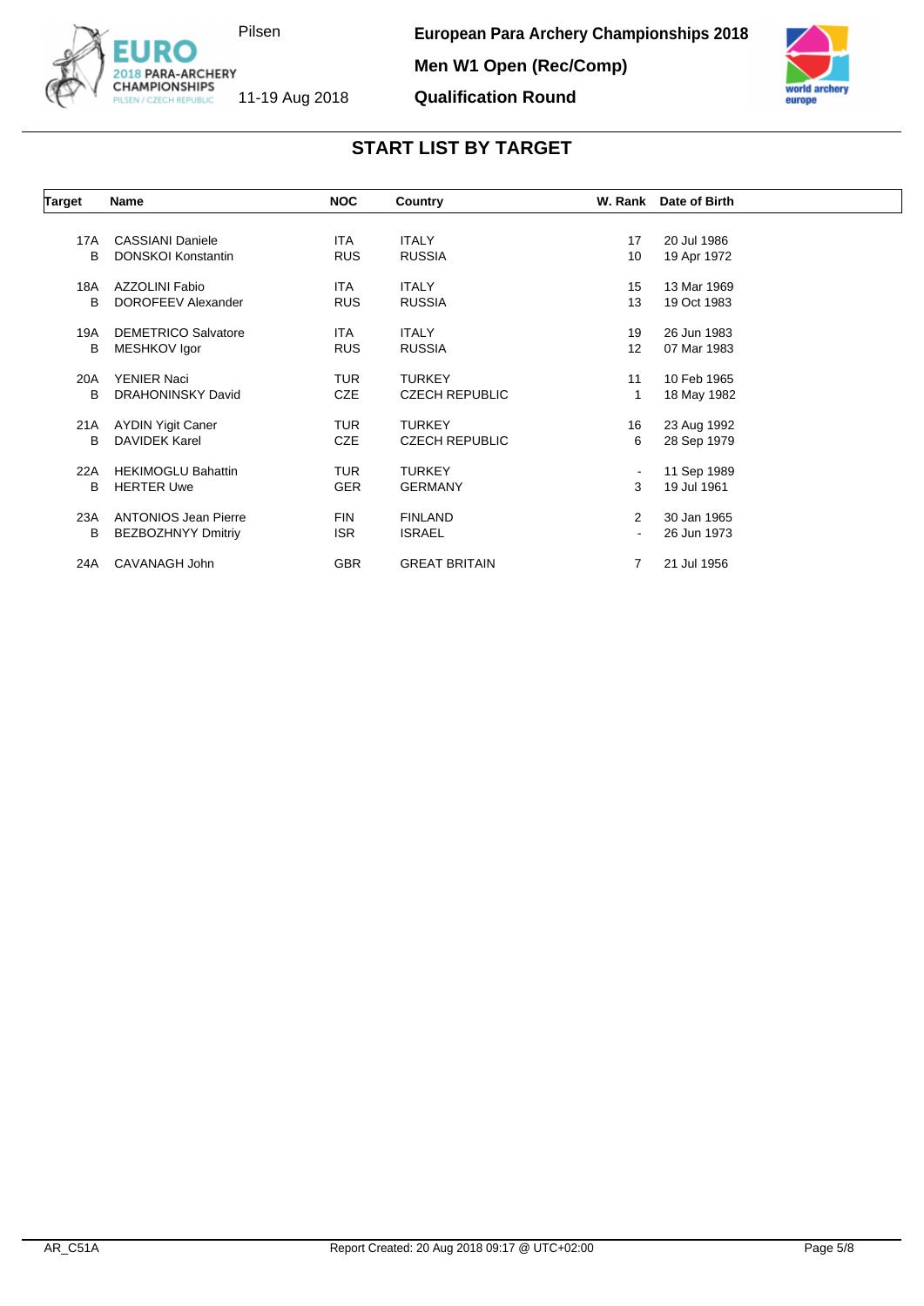



# **START LIST BY TARGET**

**Qualification Round**

| Target | <b>Name</b>                 | <b>NOC</b> | Country               |                | W. Rank Date of Birth |  |
|--------|-----------------------------|------------|-----------------------|----------------|-----------------------|--|
|        |                             |            |                       |                |                       |  |
| 17A    | <b>CASSIANI Daniele</b>     | <b>ITA</b> | <b>ITALY</b>          | 17             | 20 Jul 1986           |  |
| B      | <b>DONSKOI Konstantin</b>   | <b>RUS</b> | <b>RUSSIA</b>         | 10             | 19 Apr 1972           |  |
| 18A    | AZZOLINI Fabio              | <b>ITA</b> | <b>ITALY</b>          | 15             | 13 Mar 1969           |  |
| B      | DOROFEEV Alexander          | <b>RUS</b> | <b>RUSSIA</b>         | 13             | 19 Oct 1983           |  |
| 19A    | <b>DEMETRICO Salvatore</b>  | <b>ITA</b> | <b>ITALY</b>          | 19             | 26 Jun 1983           |  |
| B      | MESHKOV Igor                | <b>RUS</b> | <b>RUSSIA</b>         | 12             | 07 Mar 1983           |  |
| 20A    | <b>YENIER Naci</b>          | <b>TUR</b> | <b>TURKEY</b>         | 11             | 10 Feb 1965           |  |
| B      | <b>DRAHONINSKY David</b>    | <b>CZE</b> | <b>CZECH REPUBLIC</b> | 1              | 18 May 1982           |  |
| 21A    | <b>AYDIN Yigit Caner</b>    | <b>TUR</b> | <b>TURKEY</b>         | 16             | 23 Aug 1992           |  |
| B      | DAVIDEK Karel               | <b>CZE</b> | <b>CZECH REPUBLIC</b> | 6              | 28 Sep 1979           |  |
| 22A    | <b>HEKIMOGLU Bahattin</b>   | <b>TUR</b> | <b>TURKEY</b>         | $\blacksquare$ | 11 Sep 1989           |  |
| B      | <b>HERTER Uwe</b>           | <b>GER</b> | <b>GERMANY</b>        | 3              | 19 Jul 1961           |  |
| 23A    | <b>ANTONIOS Jean Pierre</b> | <b>FIN</b> | <b>FINLAND</b>        | $\overline{2}$ | 30 Jan 1965           |  |
| В      | <b>BEZBOZHNYY Dmitriy</b>   | <b>ISR</b> | <b>ISRAEL</b>         | $\blacksquare$ | 26 Jun 1973           |  |
| 24A    | CAVANAGH John               | <b>GBR</b> | <b>GREAT BRITAIN</b>  | 7              | 21 Jul 1956           |  |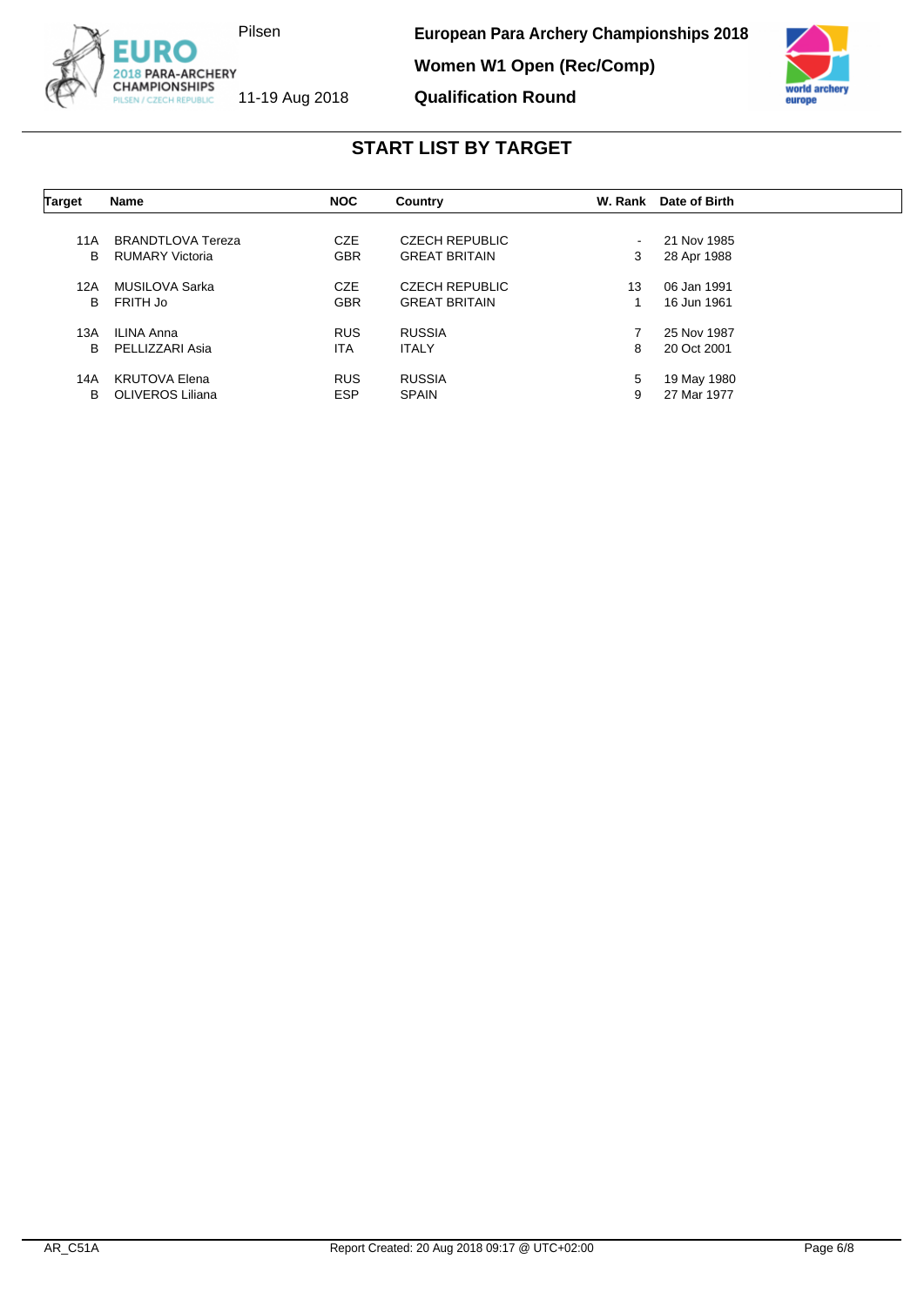

**European Para Archery Championships 2018**

**Women W1 Open (Rec/Comp)**

**Qualification Round**



| <b>Target</b> | Name                   | <b>NOC</b> | Country               | W. Rank | Date of Birth |  |
|---------------|------------------------|------------|-----------------------|---------|---------------|--|
| 11A           | BRANDTLOVA Tereza      | <b>CZE</b> | <b>CZECH REPUBLIC</b> | $\sim$  | 21 Nov 1985   |  |
| B             | <b>RUMARY Victoria</b> | <b>GBR</b> | <b>GREAT BRITAIN</b>  | 3       | 28 Apr 1988   |  |
| 12A           | MUSILOVA Sarka         | <b>CZE</b> | <b>CZECH REPUBLIC</b> | 13      | 06 Jan 1991   |  |
| в             | FRITH Jo               | <b>GBR</b> | <b>GREAT BRITAIN</b>  |         | 16 Jun 1961   |  |
| 13A           | ILINA Anna             | <b>RUS</b> | <b>RUSSIA</b>         |         | 25 Nov 1987   |  |
| B             | PELLIZZARI Asia        | <b>ITA</b> | <b>ITALY</b>          | 8       | 20 Oct 2001   |  |
| 14A           | <b>KRUTOVA Elena</b>   | <b>RUS</b> | <b>RUSSIA</b>         | 5       | 19 May 1980   |  |
| B             | OLIVEROS Liliana       | <b>ESP</b> | <b>SPAIN</b>          | 9       | 27 Mar 1977   |  |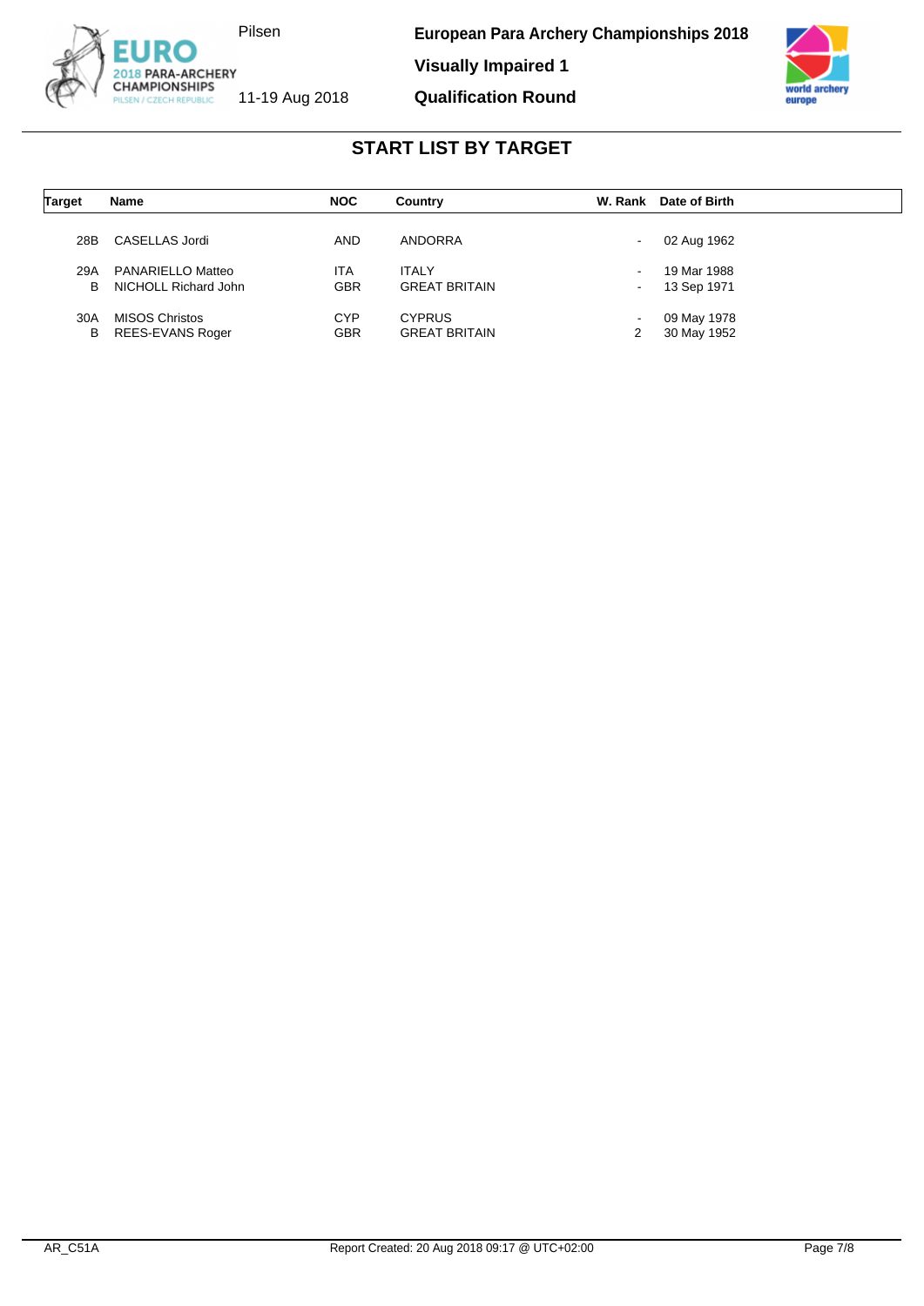



| <b>Target</b> | Name                    | <b>NOC</b> | Country              | W. Rank                  | Date of Birth |
|---------------|-------------------------|------------|----------------------|--------------------------|---------------|
| 28B           | CASELLAS Jordi          | <b>AND</b> | ANDORRA              |                          | 02 Aug 1962   |
| 29A           | PANARIELLO Matteo       | ITA        | <b>ITALY</b>         | $\overline{\phantom{a}}$ | 19 Mar 1988   |
| в             | NICHOLL Richard John    | <b>GBR</b> | <b>GREAT BRITAIN</b> |                          | 13 Sep 1971   |
| 30A           | <b>MISOS Christos</b>   | <b>CYP</b> | <b>CYPRUS</b>        | $\overline{\phantom{a}}$ | 09 May 1978   |
| в             | <b>REES-EVANS Roger</b> | <b>GBR</b> | <b>GREAT BRITAIN</b> | 2                        | 30 May 1952   |